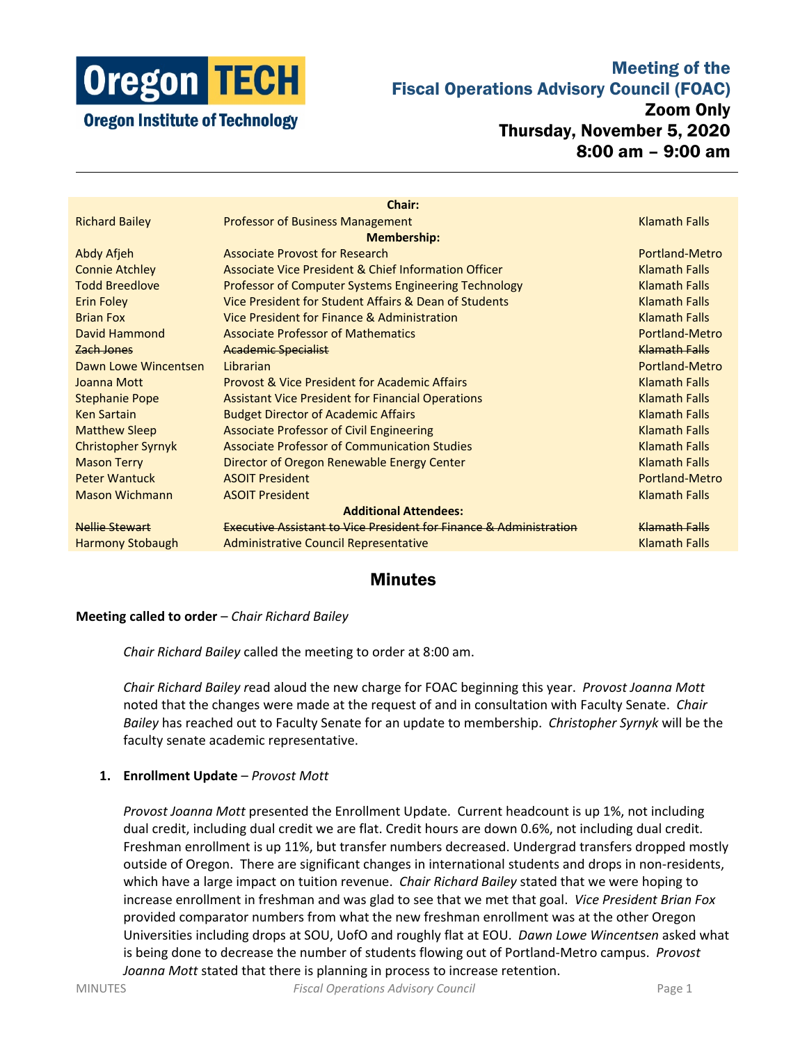

### Meeting of the Fiscal Operations Advisory Council (FOAC)

**Oregon Institute of Technology** 

# Zoom Only Thursday, November 5, 2020 8:00 am – 9:00 am

|                           | <b>Chair:</b>                                                                 |                      |
|---------------------------|-------------------------------------------------------------------------------|----------------------|
| <b>Richard Bailey</b>     | <b>Professor of Business Management</b>                                       | <b>Klamath Falls</b> |
|                           | <b>Membership:</b>                                                            |                      |
| Abdy Afjeh                | <b>Associate Provost for Research</b>                                         | Portland-Metro       |
| <b>Connie Atchley</b>     | Associate Vice President & Chief Information Officer                          | <b>Klamath Falls</b> |
| <b>Todd Breedlove</b>     | <b>Professor of Computer Systems Engineering Technology</b>                   | <b>Klamath Falls</b> |
| <b>Erin Foley</b>         | Vice President for Student Affairs & Dean of Students                         | <b>Klamath Falls</b> |
| <b>Brian Fox</b>          | Vice President for Finance & Administration                                   | <b>Klamath Falls</b> |
| David Hammond             | <b>Associate Professor of Mathematics</b>                                     | Portland-Metro       |
| Zach Jones                | <b>Academic Specialist</b>                                                    | Klamath Falls        |
| Dawn Lowe Wincentsen      | Librarian                                                                     | Portland-Metro       |
| Joanna Mott               | <b>Provost &amp; Vice President for Academic Affairs</b>                      | <b>Klamath Falls</b> |
| <b>Stephanie Pope</b>     | <b>Assistant Vice President for Financial Operations</b>                      | <b>Klamath Falls</b> |
| <b>Ken Sartain</b>        | <b>Budget Director of Academic Affairs</b>                                    | <b>Klamath Falls</b> |
| <b>Matthew Sleep</b>      | <b>Associate Professor of Civil Engineering</b>                               | <b>Klamath Falls</b> |
| <b>Christopher Syrnyk</b> | <b>Associate Professor of Communication Studies</b>                           | <b>Klamath Falls</b> |
| <b>Mason Terry</b>        | Director of Oregon Renewable Energy Center                                    | <b>Klamath Falls</b> |
| <b>Peter Wantuck</b>      | <b>ASOIT President</b>                                                        | Portland-Metro       |
| <b>Mason Wichmann</b>     | <b>ASOIT President</b>                                                        | <b>Klamath Falls</b> |
|                           | <b>Additional Attendees:</b>                                                  |                      |
| Nellie Stewart            | <b>Executive Assistant to Vice President for Finance &amp; Administration</b> | <b>Klamath Falls</b> |
| <b>Harmony Stobaugh</b>   | <b>Administrative Council Representative</b>                                  | <b>Klamath Falls</b> |
|                           |                                                                               |                      |

## **Minutes**

### **Meeting called to order** – *Chair Richard Bailey*

*Chair Richard Bailey* called the meeting to order at 8:00 am.

*Chair Richard Bailey r*ead aloud the new charge for FOAC beginning this year. *Provost Joanna Mott* noted that the changes were made at the request of and in consultation with Faculty Senate. *Chair Bailey* has reached out to Faculty Senate for an update to membership. *Christopher Syrnyk* will be the faculty senate academic representative.

### **1. Enrollment Update** – *Provost Mott*

*Provost Joanna Mott* presented the Enrollment Update. Current headcount is up 1%, not including dual credit, including dual credit we are flat. Credit hours are down 0.6%, not including dual credit. Freshman enrollment is up 11%, but transfer numbers decreased. Undergrad transfers dropped mostly outside of Oregon. There are significant changes in international students and drops in non-residents, which have a large impact on tuition revenue. *Chair Richard Bailey* stated that we were hoping to increase enrollment in freshman and was glad to see that we met that goal. *Vice President Brian Fox* provided comparator numbers from what the new freshman enrollment was at the other Oregon Universities including drops at SOU, UofO and roughly flat at EOU. *Dawn Lowe Wincentsen* asked what is being done to decrease the number of students flowing out of Portland-Metro campus. *Provost Joanna Mott* stated that there is planning in process to increase retention.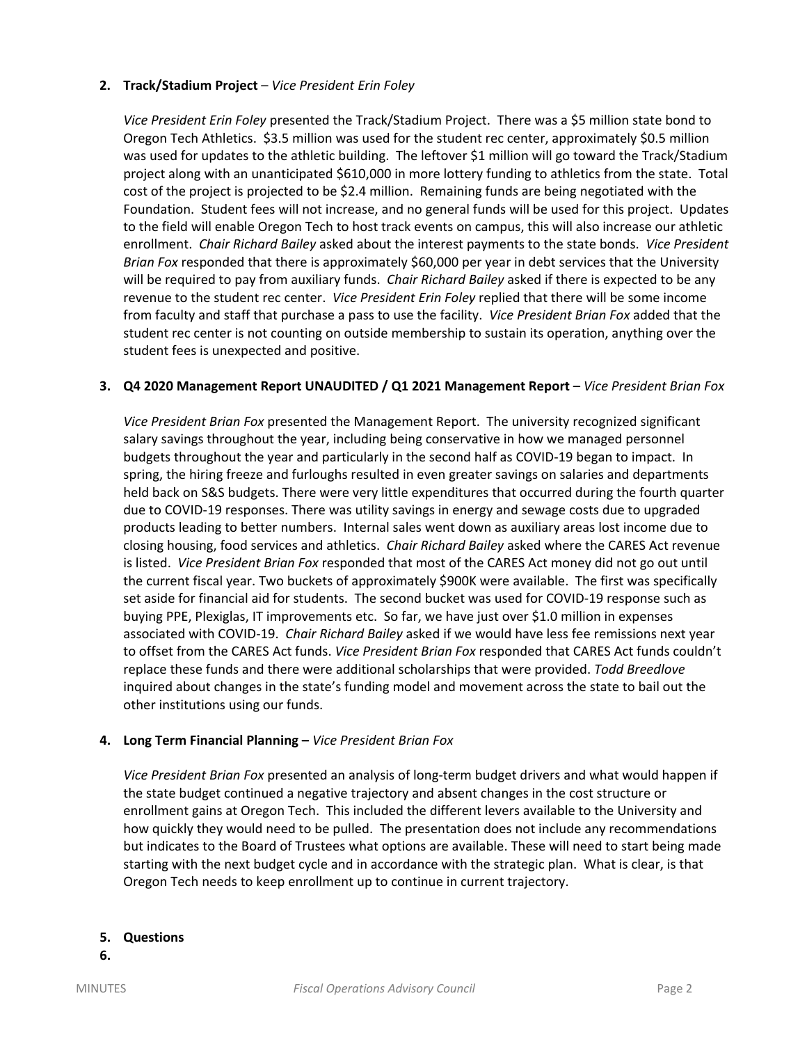### **2. Track/Stadium Project** – *Vice President Erin Foley*

*Vice President Erin Foley* presented the Track/Stadium Project. There was a \$5 million state bond to Oregon Tech Athletics. \$3.5 million was used for the student rec center, approximately \$0.5 million was used for updates to the athletic building. The leftover \$1 million will go toward the Track/Stadium project along with an unanticipated \$610,000 in more lottery funding to athletics from the state. Total cost of the project is projected to be \$2.4 million. Remaining funds are being negotiated with the Foundation. Student fees will not increase, and no general funds will be used for this project. Updates to the field will enable Oregon Tech to host track events on campus, this will also increase our athletic enrollment. *Chair Richard Bailey* asked about the interest payments to the state bonds. *Vice President Brian Fox* responded that there is approximately \$60,000 per year in debt services that the University will be required to pay from auxiliary funds. *Chair Richard Bailey* asked if there is expected to be any revenue to the student rec center. *Vice President Erin Foley* replied that there will be some income from faculty and staff that purchase a pass to use the facility. *Vice President Brian Fox* added that the student rec center is not counting on outside membership to sustain its operation, anything over the student fees is unexpected and positive.

#### **3. Q4 2020 Management Report UNAUDITED / Q1 2021 Management Report** – *Vice President Brian Fox*

*Vice President Brian Fox* presented the Management Report. The university recognized significant salary savings throughout the year, including being conservative in how we managed personnel budgets throughout the year and particularly in the second half as COVID-19 began to impact. In spring, the hiring freeze and furloughs resulted in even greater savings on salaries and departments held back on S&S budgets. There were very little expenditures that occurred during the fourth quarter due to COVID-19 responses. There was utility savings in energy and sewage costs due to upgraded products leading to better numbers. Internal sales went down as auxiliary areas lost income due to closing housing, food services and athletics. *Chair Richard Bailey* asked where the CARES Act revenue is listed. *Vice President Brian Fox* responded that most of the CARES Act money did not go out until the current fiscal year. Two buckets of approximately \$900K were available. The first was specifically set aside for financial aid for students. The second bucket was used for COVID-19 response such as buying PPE, Plexiglas, IT improvements etc. So far, we have just over \$1.0 million in expenses associated with COVID-19. *Chair Richard Bailey* asked if we would have less fee remissions next year to offset from the CARES Act funds. *Vice President Brian Fox* responded that CARES Act funds couldn't replace these funds and there were additional scholarships that were provided. *Todd Breedlove* inquired about changes in the state's funding model and movement across the state to bail out the other institutions using our funds.

### **4. Long Term Financial Planning –** *Vice President Brian Fox*

*Vice President Brian Fox* presented an analysis of long-term budget drivers and what would happen if the state budget continued a negative trajectory and absent changes in the cost structure or enrollment gains at Oregon Tech. This included the different levers available to the University and how quickly they would need to be pulled. The presentation does not include any recommendations but indicates to the Board of Trustees what options are available. These will need to start being made starting with the next budget cycle and in accordance with the strategic plan. What is clear, is that Oregon Tech needs to keep enrollment up to continue in current trajectory.

### **5. Questions**

**6.**